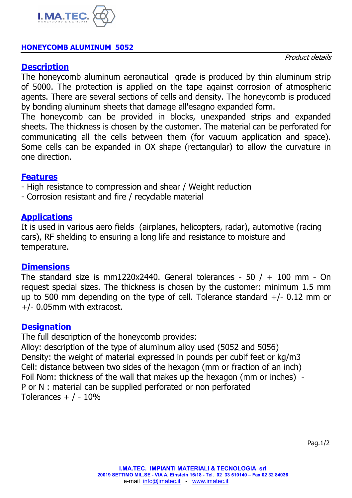

# **HONEYCOMB ALUMINUM 5052**

# **Description**

Product details

The honeycomb aluminum aeronautical grade is produced by thin aluminum strip of 5000. The protection is applied on the tape against corrosion of atmospheric agents. There are several sections of cells and density. The honeycomb is produced by bonding aluminum sheets that damage all'esagno expanded form.

The honeycomb can be provided in blocks, unexpanded strips and expanded sheets. The thickness is chosen by the customer. The material can be perforated for communicating all the cells between them (for vacuum application and space). Some cells can be expanded in OX shape (rectangular) to allow the curvature in one direction.

#### **Features**

- High resistance to compression and shear / Weight reduction
- Corrosion resistant and fire / recyclable material

## **Applications**

It is used in various aero fields (airplanes, helicopters, radar), automotive (racing cars), RF shelding to ensuring a long life and resistance to moisture and temperature.

## **Dimensions**

The standard size is mm1220x2440. General tolerances - 50  $/ + 100$  mm - On request special sizes. The thickness is chosen by the customer: minimum 1.5 mm up to 500 mm depending on the type of cell. Tolerance standard  $+/- 0.12$  mm or +/- 0.05mm with extracost.

## **Designation**

The full description of the honeycomb provides:

Alloy: description of the type of aluminum alloy used (5052 and 5056) Density: the weight of material expressed in pounds per cubif feet or kg/m3 Cell: distance between two sides of the hexagon (mm or fraction of an inch) Foil Nom: thickness of the wall that makes up the hexagon (mm or inches) - P or N : material can be supplied perforated or non perforated Tolerances  $+$  / - 10%